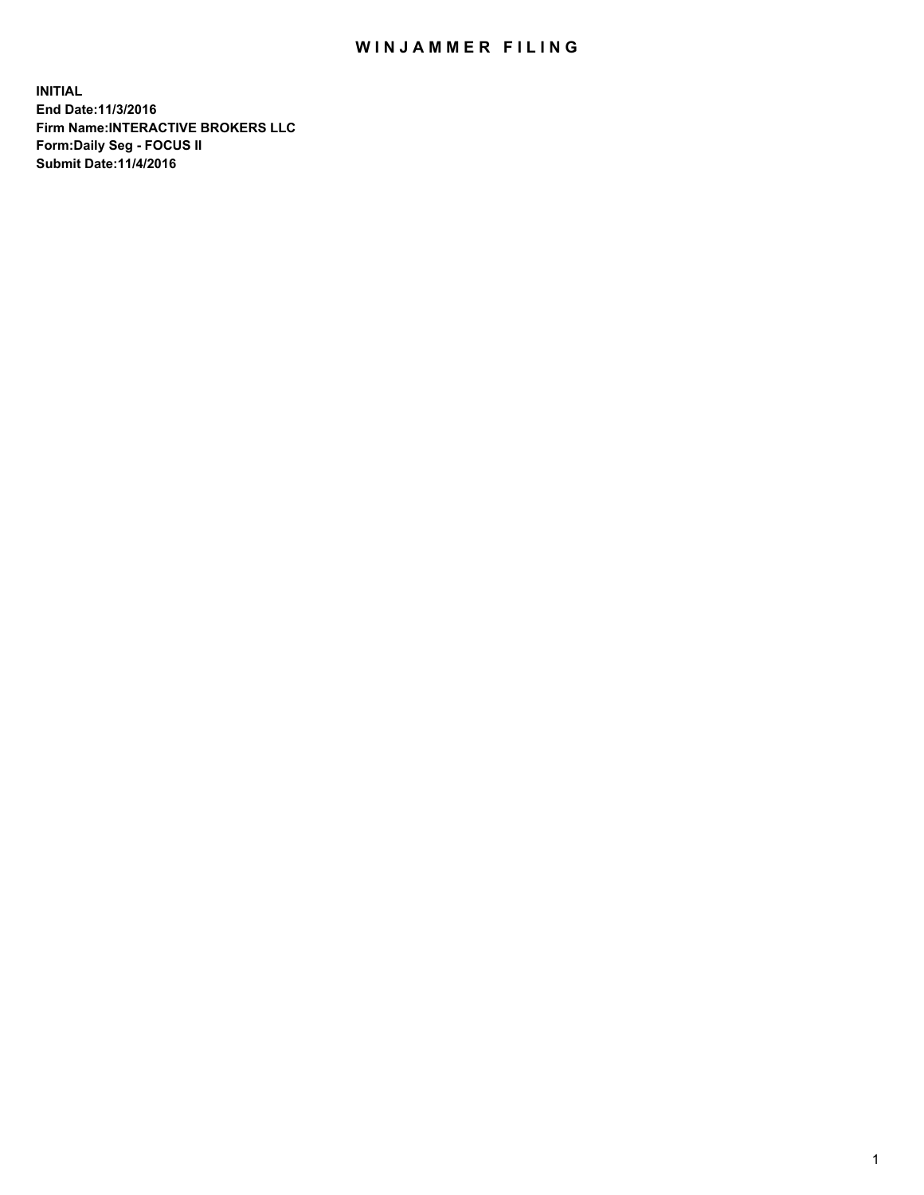## WIN JAMMER FILING

**INITIAL End Date:11/3/2016 Firm Name:INTERACTIVE BROKERS LLC Form:Daily Seg - FOCUS II Submit Date:11/4/2016**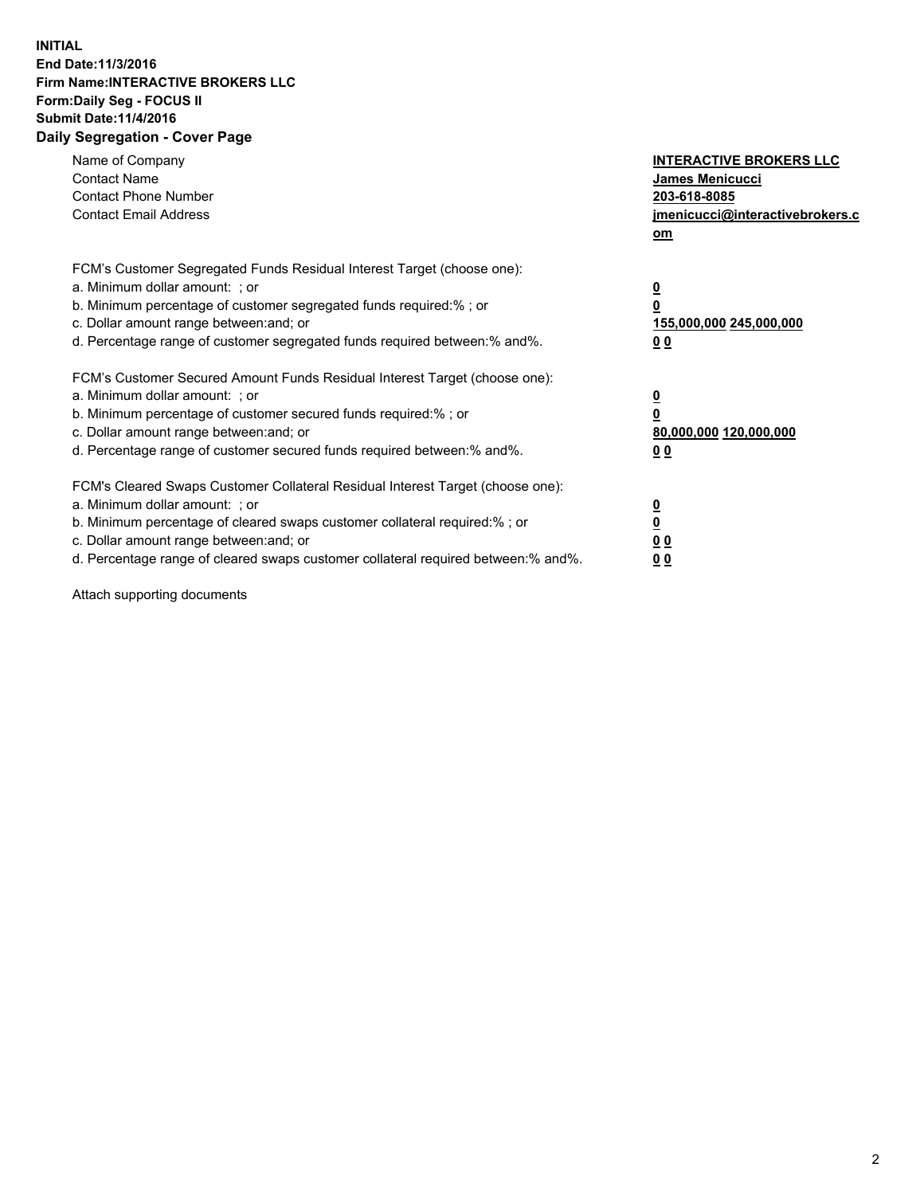## **INITIAL End Date:11/3/2016 Firm Name:INTERACTIVE BROKERS LLC Form:Daily Seg - FOCUS II Submit Date:11/4/2016 Daily Segregation - Cover Page**

| Name of Company<br><b>Contact Name</b><br><b>Contact Phone Number</b><br><b>Contact Email Address</b>                                                                                                                                                                                                                          | <b>INTERACTIVE BROKERS LLC</b><br>James Menicucci<br>203-618-8085<br>jmenicucci@interactivebrokers.c<br>om |
|--------------------------------------------------------------------------------------------------------------------------------------------------------------------------------------------------------------------------------------------------------------------------------------------------------------------------------|------------------------------------------------------------------------------------------------------------|
| FCM's Customer Segregated Funds Residual Interest Target (choose one):<br>a. Minimum dollar amount: ; or<br>b. Minimum percentage of customer segregated funds required:%; or<br>c. Dollar amount range between: and; or<br>d. Percentage range of customer segregated funds required between:% and%.                          | $\overline{\mathbf{0}}$<br>0<br>155,000,000 245,000,000<br>0 <sub>0</sub>                                  |
| FCM's Customer Secured Amount Funds Residual Interest Target (choose one):<br>a. Minimum dollar amount: ; or<br>b. Minimum percentage of customer secured funds required:%; or<br>c. Dollar amount range between: and; or<br>d. Percentage range of customer secured funds required between:% and%.                            | $\overline{\mathbf{0}}$<br>$\overline{\mathbf{0}}$<br>80,000,000 120,000,000<br>00                         |
| FCM's Cleared Swaps Customer Collateral Residual Interest Target (choose one):<br>a. Minimum dollar amount: ; or<br>b. Minimum percentage of cleared swaps customer collateral required:% ; or<br>c. Dollar amount range between: and; or<br>d. Percentage range of cleared swaps customer collateral required between:% and%. | $\overline{\mathbf{0}}$<br>$\overline{\mathbf{0}}$<br>0 <sub>0</sub><br><u>00</u>                          |

Attach supporting documents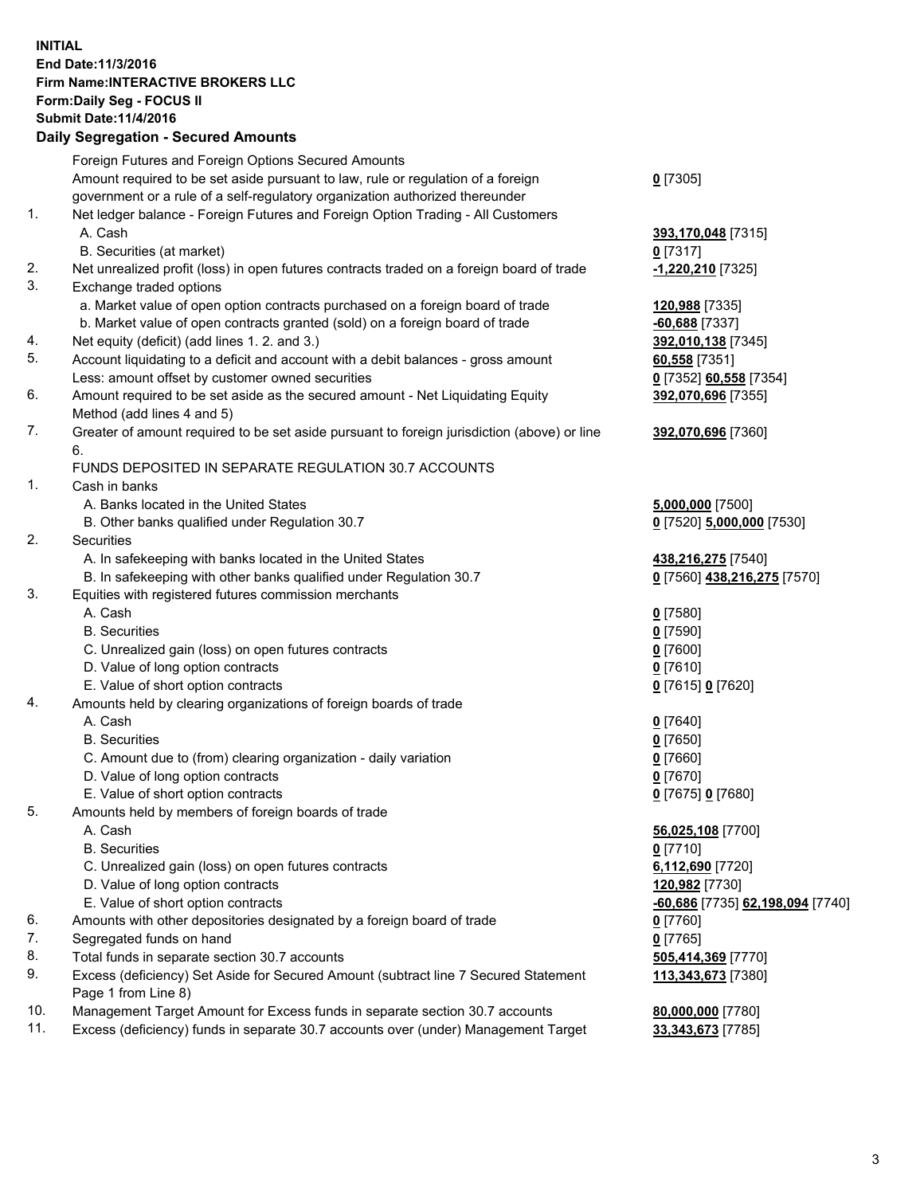## **INITIAL End Date:11/3/2016 Firm Name:INTERACTIVE BROKERS LLC Form:Daily Seg - FOCUS II Submit Date:11/4/2016 Daily Segregation - Secured Amounts**

|     | Daily Ocglegation - Occuled Amounts                                                                        |                                  |
|-----|------------------------------------------------------------------------------------------------------------|----------------------------------|
|     | Foreign Futures and Foreign Options Secured Amounts                                                        |                                  |
|     | Amount required to be set aside pursuant to law, rule or regulation of a foreign                           | $0$ [7305]                       |
|     | government or a rule of a self-regulatory organization authorized thereunder                               |                                  |
| 1.  | Net ledger balance - Foreign Futures and Foreign Option Trading - All Customers                            |                                  |
|     | A. Cash                                                                                                    | 393,170,048 [7315]               |
|     | B. Securities (at market)                                                                                  | $0$ [7317]                       |
| 2.  | Net unrealized profit (loss) in open futures contracts traded on a foreign board of trade                  | -1,220,210 [7325]                |
| 3.  | Exchange traded options                                                                                    |                                  |
|     | a. Market value of open option contracts purchased on a foreign board of trade                             | 120,988 [7335]                   |
|     | b. Market value of open contracts granted (sold) on a foreign board of trade                               | $-60,688$ [7337]                 |
| 4.  | Net equity (deficit) (add lines 1. 2. and 3.)                                                              | 392,010,138 [7345]               |
| 5.  | Account liquidating to a deficit and account with a debit balances - gross amount                          | 60,558 [7351]                    |
|     | Less: amount offset by customer owned securities                                                           | 0 [7352] 60,558 [7354]           |
| 6.  | Amount required to be set aside as the secured amount - Net Liquidating Equity                             | 392,070,696 [7355]               |
|     | Method (add lines 4 and 5)                                                                                 |                                  |
| 7.  | Greater of amount required to be set aside pursuant to foreign jurisdiction (above) or line                | 392,070,696 [7360]               |
|     | 6.                                                                                                         |                                  |
|     | FUNDS DEPOSITED IN SEPARATE REGULATION 30.7 ACCOUNTS                                                       |                                  |
| 1.  | Cash in banks                                                                                              |                                  |
|     | A. Banks located in the United States                                                                      | 5,000,000 [7500]                 |
|     | B. Other banks qualified under Regulation 30.7                                                             | 0 [7520] 5,000,000 [7530]        |
| 2.  | Securities                                                                                                 |                                  |
|     | A. In safekeeping with banks located in the United States                                                  | 438,216,275 [7540]               |
|     | B. In safekeeping with other banks qualified under Regulation 30.7                                         | 0 [7560] 438,216,275 [7570]      |
| 3.  | Equities with registered futures commission merchants                                                      |                                  |
|     | A. Cash                                                                                                    | $0$ [7580]                       |
|     | <b>B.</b> Securities                                                                                       | $0$ [7590]                       |
|     | C. Unrealized gain (loss) on open futures contracts                                                        | $0$ [7600]                       |
|     | D. Value of long option contracts                                                                          | $0$ [7610]                       |
|     | E. Value of short option contracts                                                                         | 0 [7615] 0 [7620]                |
| 4.  | Amounts held by clearing organizations of foreign boards of trade                                          |                                  |
|     | A. Cash                                                                                                    | $0$ [7640]                       |
|     | <b>B.</b> Securities                                                                                       | $0$ [7650]                       |
|     | C. Amount due to (from) clearing organization - daily variation                                            | $0$ [7660]                       |
|     | D. Value of long option contracts                                                                          | $0$ [7670]                       |
|     | E. Value of short option contracts                                                                         | 0 [7675] 0 [7680]                |
| 5.  | Amounts held by members of foreign boards of trade                                                         |                                  |
|     | A. Cash                                                                                                    | 56,025,108 [7700]                |
|     | <b>B.</b> Securities                                                                                       | $0$ [7710]                       |
|     | C. Unrealized gain (loss) on open futures contracts                                                        | 6,112,690 [7720]                 |
|     | D. Value of long option contracts                                                                          | 120,982 [7730]                   |
|     | E. Value of short option contracts                                                                         | -60,686 [7735] 62,198,094 [7740] |
| 6.  | Amounts with other depositories designated by a foreign board of trade                                     | 0 [7760]                         |
| 7.  | Segregated funds on hand                                                                                   | $0$ [7765]                       |
| 8.  | Total funds in separate section 30.7 accounts                                                              | 505,414,369 [7770]               |
| 9.  | Excess (deficiency) Set Aside for Secured Amount (subtract line 7 Secured Statement<br>Page 1 from Line 8) | 113,343,673 [7380]               |
| 10. | Management Target Amount for Excess funds in separate section 30.7 accounts                                | 80,000,000 [7780]                |
| 11. | Excess (deficiency) funds in separate 30.7 accounts over (under) Management Target                         | 33,343,673 [7785]                |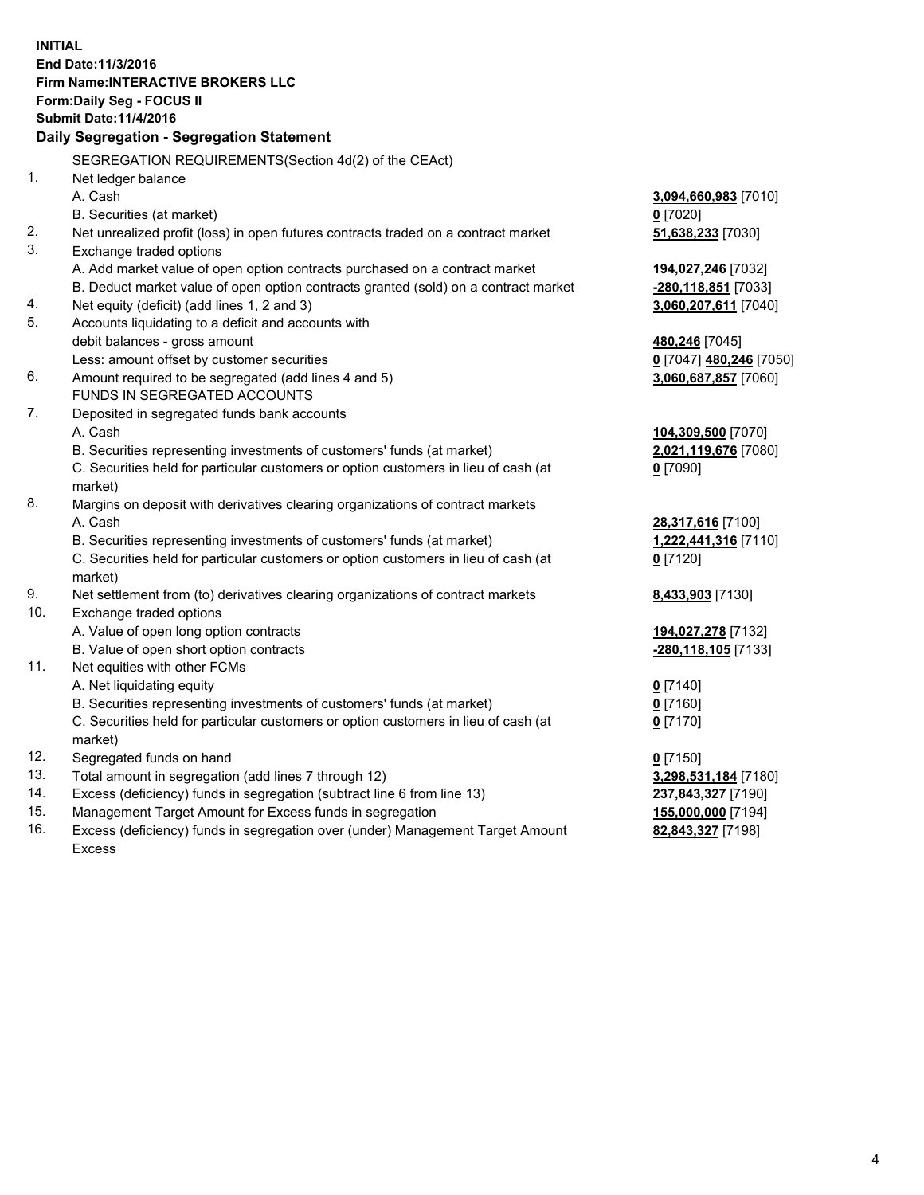**INITIAL End Date:11/3/2016 Firm Name:INTERACTIVE BROKERS LLC Form:Daily Seg - FOCUS II Submit Date:11/4/2016 Daily Segregation - Segregation Statement** SEGREGATION REQUIREMENTS(Section 4d(2) of the CEAct) 1. Net ledger balance A. Cash **3,094,660,983** [7010] B. Securities (at market) **0** [7020] 2. Net unrealized profit (loss) in open futures contracts traded on a contract market **51,638,233** [7030] 3. Exchange traded options A. Add market value of open option contracts purchased on a contract market **194,027,246** [7032] B. Deduct market value of open option contracts granted (sold) on a contract market **-280,118,851** [7033] 4. Net equity (deficit) (add lines 1, 2 and 3) **3,060,207,611** [7040] 5. Accounts liquidating to a deficit and accounts with debit balances - gross amount **480,246** [7045] Less: amount offset by customer securities **0** [7047] **480,246** [7050] 6. Amount required to be segregated (add lines 4 and 5) **3,060,687,857** [7060] FUNDS IN SEGREGATED ACCOUNTS 7. Deposited in segregated funds bank accounts A. Cash **104,309,500** [7070] B. Securities representing investments of customers' funds (at market) **2,021,119,676** [7080] C. Securities held for particular customers or option customers in lieu of cash (at market) **0** [7090] 8. Margins on deposit with derivatives clearing organizations of contract markets A. Cash **28,317,616** [7100] B. Securities representing investments of customers' funds (at market) **1,222,441,316** [7110] C. Securities held for particular customers or option customers in lieu of cash (at market) **0** [7120] 9. Net settlement from (to) derivatives clearing organizations of contract markets **8,433,903** [7130] 10. Exchange traded options A. Value of open long option contracts **194,027,278** [7132] B. Value of open short option contracts **-280,118,105** [7133] 11. Net equities with other FCMs A. Net liquidating equity **0** [7140] B. Securities representing investments of customers' funds (at market) **0** [7160] C. Securities held for particular customers or option customers in lieu of cash (at market) **0** [7170] 12. Segregated funds on hand **0** [7150] 13. Total amount in segregation (add lines 7 through 12) **3,298,531,184** [7180] 14. Excess (deficiency) funds in segregation (subtract line 6 from line 13) **237,843,327** [7190] 15. Management Target Amount for Excess funds in segregation **155,000,000** [7194]

16. Excess (deficiency) funds in segregation over (under) Management Target Amount Excess

**82,843,327** [7198]